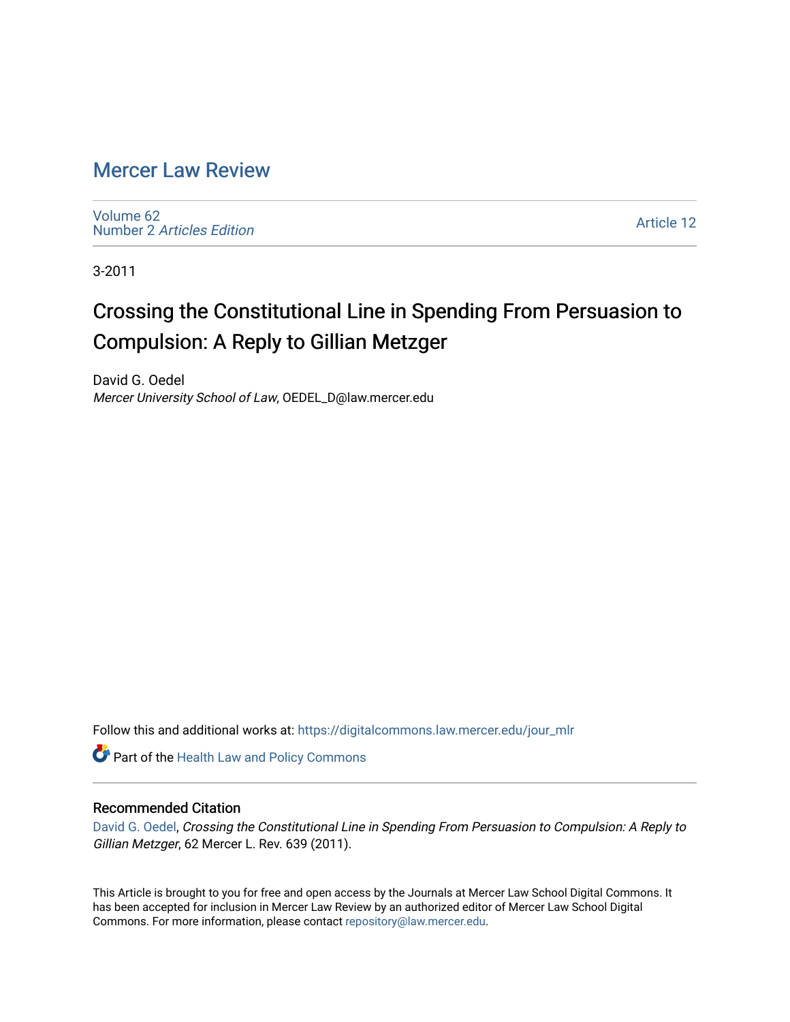## [Mercer Law Review](https://digitalcommons.law.mercer.edu/jour_mlr)

[Volume 62](https://digitalcommons.law.mercer.edu/jour_mlr/vol62) Number 2 [Articles Edition](https://digitalcommons.law.mercer.edu/jour_mlr/vol62/iss2) 

[Article 12](https://digitalcommons.law.mercer.edu/jour_mlr/vol62/iss2/12) 

3-2011

# Crossing the Constitutional Line in Spending From Persuasion to Compulsion: A Reply to Gillian Metzger

David G. Oedel Mercer University School of Law, OEDEL\_D@law.mercer.edu

Follow this and additional works at: [https://digitalcommons.law.mercer.edu/jour\\_mlr](https://digitalcommons.law.mercer.edu/jour_mlr?utm_source=digitalcommons.law.mercer.edu%2Fjour_mlr%2Fvol62%2Fiss2%2F12&utm_medium=PDF&utm_campaign=PDFCoverPages)

Part of the [Health Law and Policy Commons](http://network.bepress.com/hgg/discipline/901?utm_source=digitalcommons.law.mercer.edu%2Fjour_mlr%2Fvol62%2Fiss2%2F12&utm_medium=PDF&utm_campaign=PDFCoverPages) 

### Recommended Citation

[David G. Oedel,](https://guides.law.mercer.edu/oedel) Crossing the Constitutional Line in Spending From Persuasion to Compulsion: A Reply to Gillian Metzger, 62 Mercer L. Rev. 639 (2011).

This Article is brought to you for free and open access by the Journals at Mercer Law School Digital Commons. It has been accepted for inclusion in Mercer Law Review by an authorized editor of Mercer Law School Digital Commons. For more information, please contact [repository@law.mercer.edu.](mailto:repository@law.mercer.edu)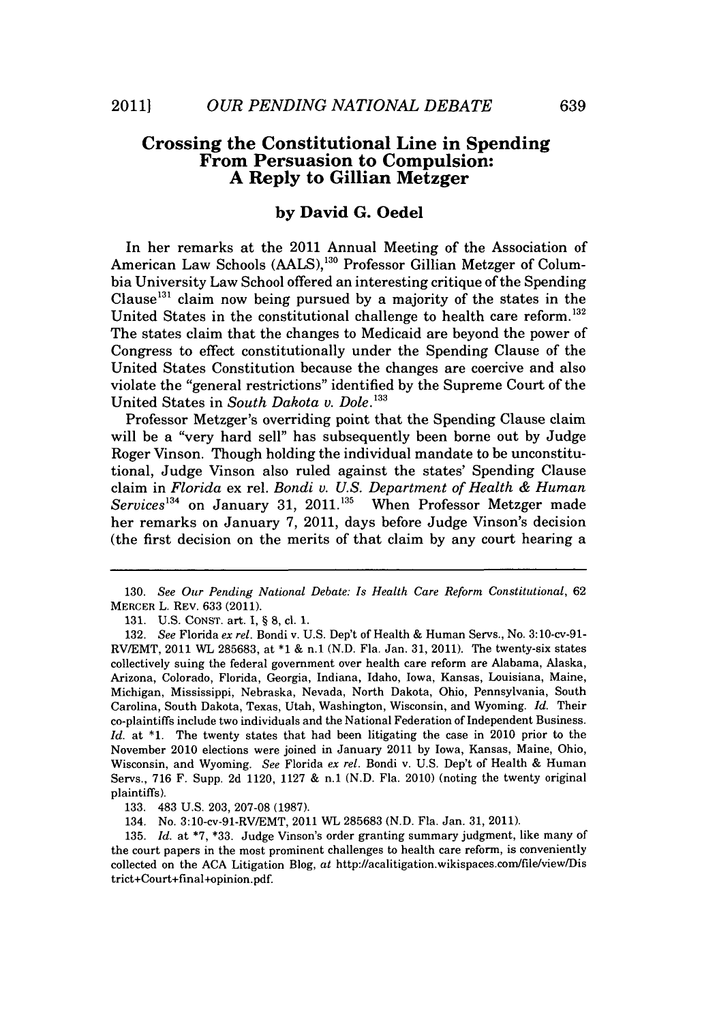### **Crossing the Constitutional Line in Spending From Persuasion to Compulsion: A Reply to Gillian Metzger**

#### **by David G. Oedel**

In her remarks at the 2011 Annual Meeting of the Association of American Law Schools (AALS),<sup>130</sup> Professor Gillian Metzger of Columbia University Law School offered an interesting critique of the Spending Clause<sup>131</sup> claim now being pursued by a majority of the states in the United States in the constitutional challenge to health care reform.<sup>132</sup> The states claim that the changes to Medicaid are beyond the power of Congress to effect constitutionally under the Spending Clause of the United States Constitution because the changes are coercive and also violate the "general restrictions" identified **by** the Supreme Court of the United States in *South Dakota v. Dole*.<sup>133</sup>

Professor Metzger's overriding point that the Spending Clause claim will be a "very hard sell" has subsequently been borne out **by** Judge Roger Vinson. Though holding the individual mandate to be unconstitutional, Judge Vinson also ruled against the states' Spending Clause claim in *Florida* ex rel. *Bondi v. U.S. Department of Health & Human Services*<sup>134</sup> on January 31, 2011.<sup>135</sup> When Professor Metzger made her remarks on January *7,* 2011, days before Judge Vinson's decision (the first decision on the merits of that claim **by** any court hearing a

**131. U.S.** CoNsT. art. **1, § 8,** cl. **1.**

**133.** 483 **U.S. 203, 207-08 (1987).**

134. No. 3:10-cv-91-RVIEMT, 2011 **WL 285683 (N.D.** Fla. Jan. **31, 2011).**

**135.** *Id.* at \*7, \*33. Judge Vinson's order granting summary judgment, like many of the court papers in the most prominent challenges to health care reform, is conveniently collected on the **ACA** Litigation Blog, at http://acalitigation.wikispaces.com/file/view/Dis trict+Court+fmal+opinion.pdf.

*<sup>130.</sup> See Our Pending National Debate: Is Health Care Reform Constitutional, 62* MERCER L. REV. **633** (2011).

**<sup>132.</sup>** *See Florida ex rel.* Bondi v. **U.S.** Dep't of Health *&* Human Servs., No. 3:10-cv-91- RV/EMT, 2011 **WL 285683,** at **\*1** *&* n.1 **(N.D.** Fla. Jan. **31, 2011).** The twenty-six states collectively suing the federal government over health care reform are Alabama, Alaska, Arizona, Colorado, Florida, Georgia, Indiana, Idaho, Iowa, Kansas, Louisiana, Maine, Michigan, Mississippi, Nebraska, Nevada, North Dakota, Ohio, Pennsylvania, South Carolina, South Dakota, Texas, Utah, Washington, Wisconsin, and Wyoming. *Id.* Their co-plaintiffs include two individuals and the National Federation of Independent Business. *Id.* at **\*1.** The twenty states that had been litigating the case in 2010 prior to the November 2010 elections were joined in January 2011 **by** Iowa, Kansas, Maine, Ohio, Wisconsin, and Wyoming. *See Florida ex rel.* Bondi v. **U.S.** Dep't of Health *&* Human Servs., **716** F. Supp. **2d** 1120, **1127** *&* n.1 **(N.D.** Fla. 2010) (noting the twenty original plaintiffs).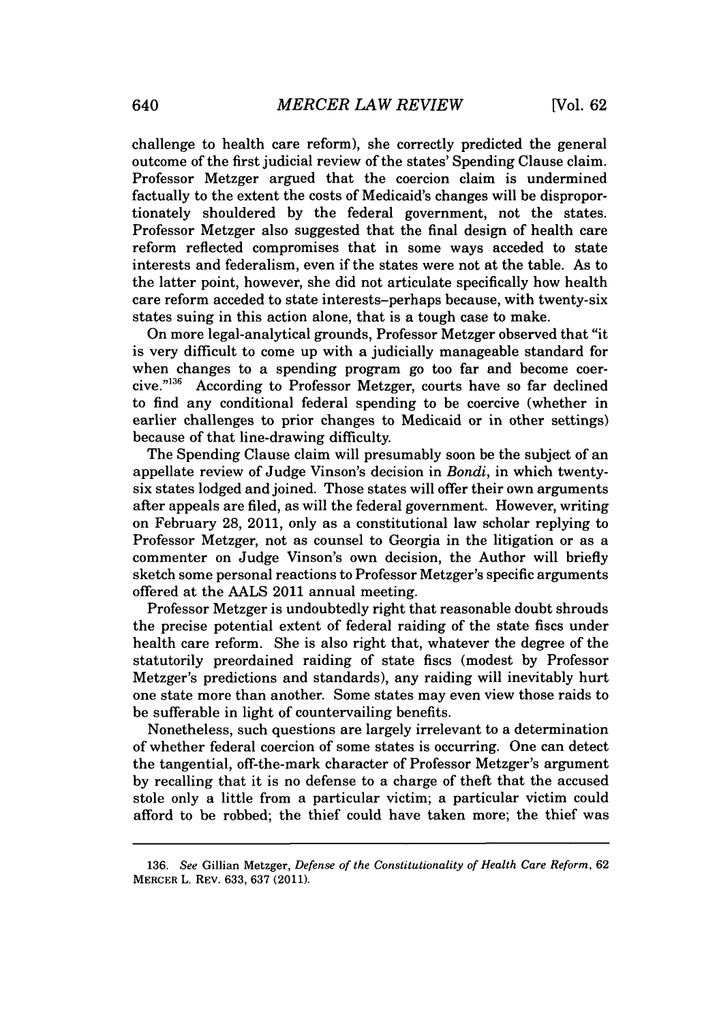challenge to health care reform), she correctly predicted the general outcome of the first judicial review of the states' Spending Clause claim. Professor Metzger argued that the coercion claim is undermined factually to the extent the costs of Medicaid's changes will be disproportionately shouldered **by** the federal government, not the states. Professor Metzger also suggested that the final design of health care reform reflected compromises that in some ways acceded to state interests and federalism, even if the states were not at the table. As to the latter point, however, she did not articulate specifically how health care reform acceded to state interests-perhaps because, with twenty-six states suing in this action alone, that is a tough case to make.

On more legal-analytical grounds, Professor Metzger observed that "it is very difficult to come up with a judicially manageable standard for when changes to a spending program go too far and become coercive."<sup>136</sup> According to Professor Metzger, courts have so far declined to find any conditional federal spending to be coercive (whether in earlier challenges to prior changes to Medicaid or in other settings) because of that line-drawing difficulty.

The Spending Clause claim will presumably soon be the subject of an appellate review of Judge Vinson's decision in *Bondi,* in which twentysix states lodged and joined. Those states will offer their own arguments after appeals are filed, as will the federal government. However, writing on February **28,** 2011, only as a constitutional law scholar replying to Professor Metzger, not as counsel to Georgia in the litigation or as a commenter on Judge Vinson's own decision, the Author will briefly sketch some personal reactions to Professor Metzger's specific arguments offered at the **AALS** 2011 annual meeting.

Professor Metzger is undoubtedly right that reasonable doubt shrouds the precise potential extent of federal raiding of the state fiscs under health care reform. She is also right that, whatever the degree of the statutorily preordained raiding of state fiscs (modest **by** Professor Metzger's predictions and standards), any raiding will inevitably hurt one state more than another. Some states may even view those raids to **be** sufferable in light of countervailing benefits.

Nonetheless, such questions are largely irrelevant to a determination of whether federal coercion of some states is occurring. One can detect the tangential, off-the-mark character of Professor Metzger's argument **by** recalling that it is no defense to a charge of theft that the accused stole only a little from a particular victim; a particular victim could afford to be robbed; the thief could have taken more; the thief was

*<sup>136.</sup> See* Gillian Metzger, *Defense of the Constitutionality of Health Care Reform,* **62** MERCER *L.* REV. **633, 637** (2011).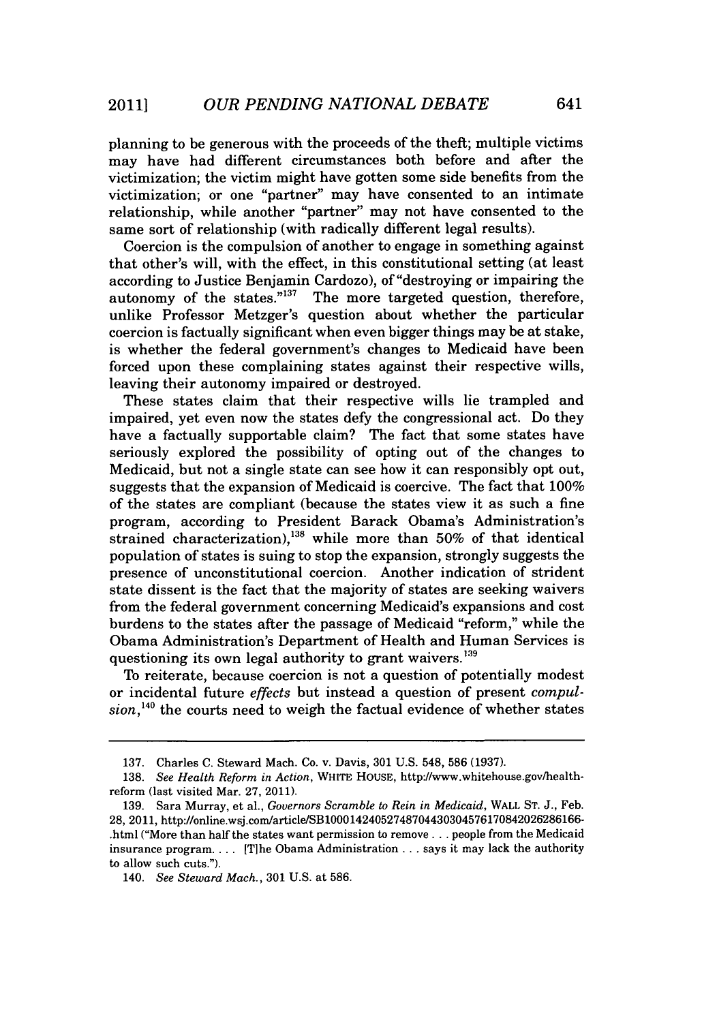planning to be generous with the proceeds of the theft; multiple victims may have had different circumstances both before and after the victimization; the victim might have gotten some side benefits from the victimization; or one "partner" may have consented to an intimate relationship, while another "partner" may not have consented to the same sort of relationship (with radically different legal results).

Coercion is the compulsion of another to engage in something against that other's will, with the effect, in this constitutional setting (at least according to Justice Benjamin Cardozo), of "destroying or impairing the autonomy of the states. $n_{137}$  The more targeted question, therefore, unlike Professor Metzger's question about whether the particular coercion is factually significant when even bigger things may be at stake, is whether the federal government's changes to Medicaid have been forced upon these complaining states against their respective wills, leaving their autonomy impaired or destroyed.

These states claim that their respective wills lie trampled and impaired, yet even now the states defy the congressional act. Do they have a factually supportable claim? The fact that some states have seriously explored the possibility of opting out of the changes to Medicaid, but not a single state can see how it can responsibly opt out, suggests that the expansion of Medicaid is coercive. The fact that **100%** of the states are compliant (because the states view it as such a fine program, according to President Barack Obama's Administration's strained characterization),<sup>138</sup> while more than 50% of that identical population of states is suing to stop the expansion, strongly suggests the presence of unconstitutional coercion. Another indication of strident state dissent is the fact that the majority of states are seeking waivers from the federal government concerning Medicaid's expansions and cost burdens to the states after the passage of Medicaid "reform," while the Obama Administration's Department of Health and Human Services is questioning its own legal authority to grant waivers.<sup>139</sup>

To reiterate, because coercion is not a question of potentially modest or incidental future effects but instead a question of present *compulsion,140* the courts need to weigh the factual evidence of whether states

**<sup>137.</sup>** Charles **C.** Steward Mach. Co. v. Davis, **301 U.S.** 548, **586 (1937).**

**<sup>138.</sup>** *See Health Reform in Action,* **WHITE HOUSE,** http://www.whitehouse.gov/healthreform (last visited Mar. **27,** 2011).

**<sup>139.</sup>** Sara Murray, et al., *Governors Scramble to Rein in Medicaid,* WALL **ST. J.,** Feb. 28, 2011, http://online.wsj.com/article/SB10001424052748704430304576170842026286166-.html ("More than half the states want permission to remove **...** people from the Medicaid insurance program. **...** [T]he Obama Administration **.** . **.** says it may lack the authority to allow such cuts.").

*<sup>140.</sup> See Steward Mach.,* **301 U.S.** at **586.**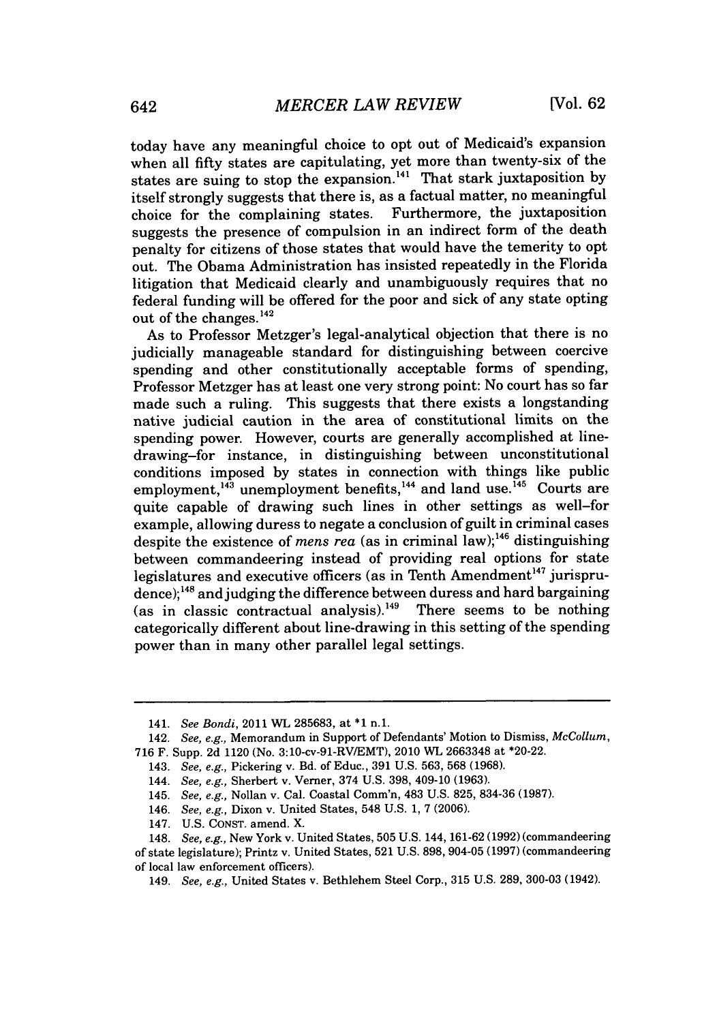today have any meaningful choice to opt out of Medicaid's expansion when all **fifty** states are capitulating, yet more than twenty-six of the states are suing to stop the expansion.14 ' That stark juxtaposition **by** itself strongly suggests that there is, as a factual matter, no meaningful choice for the complaining states. suggests the presence of compulsion in an indirect form of the death penalty for citizens of those states that would have the temerity to opt out. The Obama Administration has insisted repeatedly in the Florida litigation that Medicaid clearly and unambiguously requires that no federal funding will be offered for the poor and sick of any state opting out of the changes.<sup>142</sup>

As to Professor Metzger's legal-analytical objection that there is no judicially manageable standard for distinguishing between coercive spending and other constitutionally acceptable forms of spending, Professor Metzger has at least one very strong point: No court has so far made such a ruling. This suggests that there exists a longstanding native judicial caution in the area of constitutional limits on the spending power. However, courts are generally accomplished at linedrawing-for instance, in distinguishing between unconstitutional conditions imposed **by** states in connection with things like public employment,<sup>143</sup> unemployment benefits,<sup>144</sup> and land use.<sup>145</sup> Courts are quite capable of drawing such lines in other settings as well-for example, allowing duress to negate a conclusion of guilt in criminal cases despite the existence of *mens rea* (as in criminal law);<sup>146</sup> distinguishing between commandeering instead of providing real options for state legislatures and executive officers (as in Tenth Amendment<sup>147</sup> jurisprudence);148 and judging the difference between duress and hard bargaining  $(as in classic contractual analysis).<sup>149</sup> There seems to be nothing$ categorically different about line-drawing in this setting of the spending power than in many other parallel legal settings.

*<sup>141.</sup> See Bondi,* 2011 WL **285683,** at **\*1** n.1.

<sup>142.</sup> *See, e.g.,* Memorandum in Support of Defendants' Motion to Dismiss, *McCollum,* **716** F. Supp. **2d** 1120 (No. 3:10-cv-91-RVIEMT), 2010 WL **2663348** at \*20-22.

<sup>143.</sup> *See, e.g.,* Pickering v. Bd. of Educ., **391 U.S. 563, 568 (1968).**

<sup>144.</sup> *See, e.g.,* Sherbert v. Verner, 374 **U.S. 398,** 409-10 **(1963).**

<sup>145.</sup> *See, e.g.,* Nollan v. Cal. Coastal Comm'n, 483 **U.S. 825, 834-36 (1987).**

<sup>146.</sup> *See, e.g.,* Dixon v. United States, 548 **U.S. 1, 7 (2006).**

<sup>147.</sup> **U.S. CONST.** amend. X.

<sup>148.</sup> *See, e.g.,* New York v. United States, **505 U.S.** 144, **161-62 (1992)** (commandeering of state legislature); Printz v. United States, **521 U.S. 898,** 904-05 **(1997)** (commandeering of local law enforcement officers).

*<sup>149.</sup> See, e.g.,* United States v. Bethlehem Steel Corp., **315 U.S. 289, 300-03** (1942).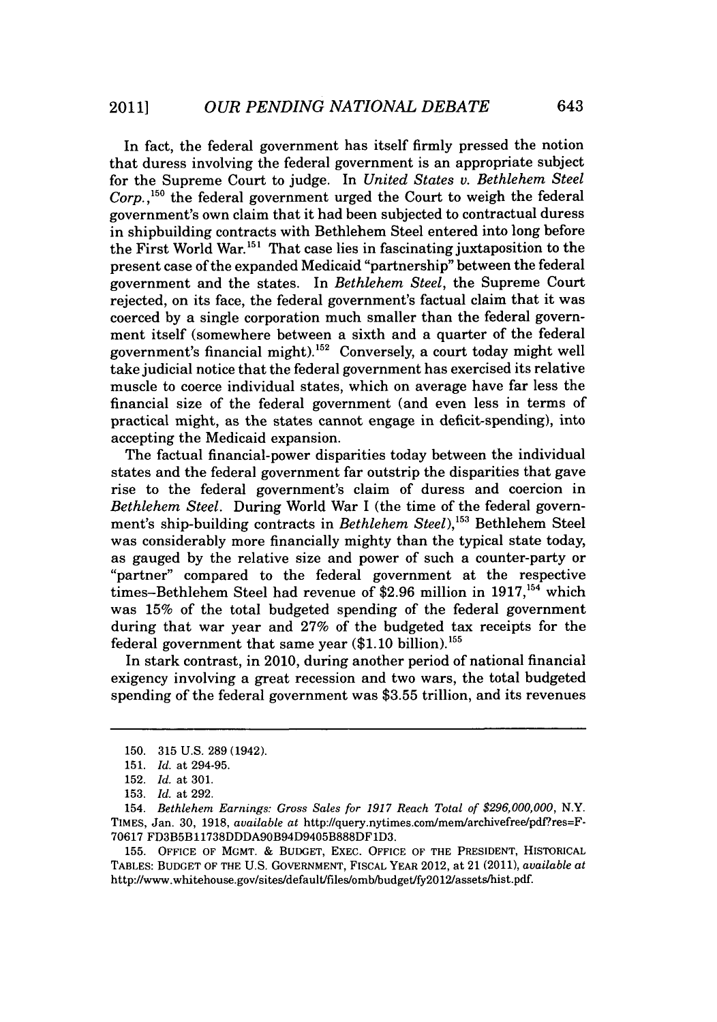In fact, the federal government has itself firmly pressed the notion that duress involving the federal government is an appropriate subject for the Supreme Court to judge. In *United States v. Bethlehem Steel Corp.,1so* the federal government urged the Court to weigh the federal government's own claim that it had been subjected to contractual duress in shipbuilding contracts with Bethlehem Steel entered into long before the First World War.<sup>151</sup> That case lies in fascinating juxtaposition to the present case of the expanded Medicaid "partnership" between the federal government and the states. In *Bethlehem Steel,* the Supreme Court rejected, on its face, the federal government's factual claim that it was coerced **by** a single corporation much smaller than the federal government itself (somewhere between a sixth and a quarter of the federal government's financial might).152 Conversely, a court today might well take judicial notice that the federal government has exercised its relative muscle to coerce individual states, which on average have far less the financial size of the federal government (and even less in terms of practical might, as the states cannot engage in deficit-spending), into accepting the Medicaid expansion.

The factual financial-power disparities today between the individual states and the federal government far outstrip the disparities that gave rise to the federal government's claim of duress and coercion in *Bethlehem Steel.* During World War I (the time of the federal government's ship-building contracts in *Bethlehem Steel*),<sup>153</sup> Bethlehem Steel was considerably more financially mighty than the typical state today, as gauged **by** the relative size and power of such a counter-party or "partner" compared to the federal government at the respective times-Bethlehem Steel had revenue of **\$2.96** million in **1917,154** which was **15%** of the total budgeted spending of the federal government during that war year and **27%** of the budgeted tax receipts for the federal government that same year **(\$1.10** billion).155

In stark contrast, in 2010, during another period of national financial exigency involving a great recession and two wars, the total budgeted spending of the federal government was **\$3.55** trillion, and its revenues

**<sup>150. 315</sup> U.S. 289** (1942).

**<sup>151.</sup>** *Id. at* 294-95.

**<sup>152.</sup>** *Id. at* **301.**

**<sup>153.</sup>** *Id. at* **292.**

<sup>154.</sup> *Bethlehem Earnings: Gross Sales for 1917 Reach Total of \$296,000,000, N.Y.* **TIMES,** Jan. **30, 1918,** *available at* http://query.nytimes.com/mem/archivefree/pdfres=F-**70617 FD3B5B11738DDDA90B94D9405B888DF1D3.**

**<sup>155.</sup> OFFICE OF MGMT. & BUDGET, EXEC. OFFICE OF THE PRESIDENT, HISTORICAL TABLES: BUDGET OF THE U.S. GOVERNMENT, FISCAL YEAR** 2012, at 21 (2011), *available at* http://www.whitehouse.gov/sites/default/files/omb/budget/fy2Ol2/assets/hist.pdf.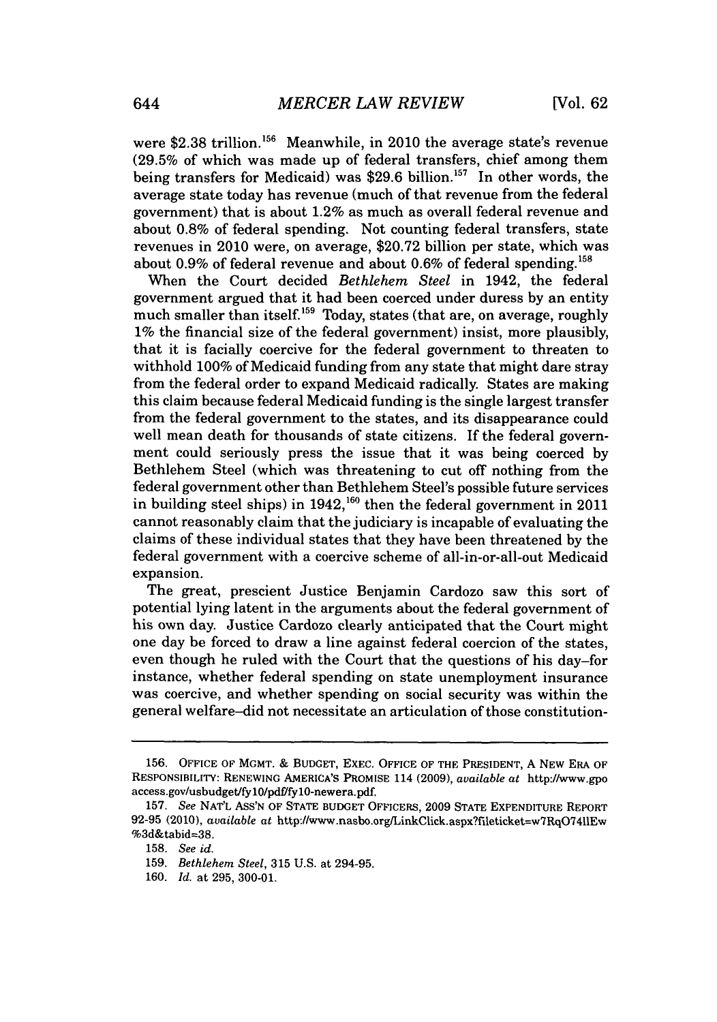were \$2.38 trillion.<sup>156</sup> Meanwhile, in 2010 the average state's revenue **(29.5%** of which was made up of federal transfers, chief among them being transfers for Medicaid) was \$29.6 billion.<sup>157</sup> In other words, the average state today has revenue (much of that revenue from the federal government) that is about 1.2% as much as overall federal revenue and about **0.8%** of federal spending. Not counting federal transfers, state revenues in 2010 were, on average, **\$20.72** billion per state, which was about 0.9% of federal revenue and about 0.6% of federal spending.<sup>158</sup>

When the Court decided *Bethlehem Steel* in 1942, the federal government argued that it had been coerced under duress **by** an entity much smaller than itself.<sup>159</sup> Today, states (that are, on average, roughly **1%** the financial size of the federal government) insist, more plausibly, that it is facially coercive for the federal government to threaten to withhold **100%** of Medicaid funding from any state that might dare stray from the federal order to expand Medicaid radically. States are making this claim because federal Medicaid funding is the single largest transfer from the federal government to the states, and its disappearance could well mean death for thousands of state citizens. If the federal government could seriously press the issue that it was being coerced **by** Bethlehem Steel (which was threatening to cut off nothing from the federal government other than Bethlehem Steel's possible future services in building steel ships) in 1942,<sup>160</sup> then the federal government in 2011 cannot reasonably claim that the judiciary is incapable of evaluating the claims of these individual states that they have been threatened **by** the federal government with a coercive scheme of all-in-or-all-out Medicaid expansion.

The great, prescient Justice Benjamin Cardozo saw this sort of potential lying latent in the arguments about the federal government of his own day. Justice Cardozo clearly anticipated that the Court might one day be forced to draw a line against federal coercion of the states, even though he ruled with the Court that the questions of his day-for instance, whether federal spending on state unemployment insurance was coercive, and whether spending on social security was within the general welfare-did not necessitate an articulation of those constitution-

**<sup>156.</sup> OFFICE** OF MGMT. **& BUDGET,** EXEc. **OFFICE** OF THE PRESIDENT, **A** NEW ERA OF RESPONSIBILITY: RENEWING **AMERICA'S** PROMISE 114 **(2009),** *available at http://www.gpo* access.gov/usbudget/fylO/pdf/fylO-newera.pdf.

**<sup>157.</sup>** *See* **NAT'L ASS'N** OF **STATE BUDGET** OFFICERS, **2009 STATE EXPENDITURE** REPORT **92-95** (2010), *available at* http://www.nasbo.org/LinkClick.aspx?fileticket=w7RqO7411Ew %3d&tabid=38.

**<sup>158.</sup>** *See id.*

**<sup>159.</sup>** *Bethlehem Steel,* **315 U.S.** at 294-95.

**<sup>160.</sup>** *Id. at* **295, 300-01.**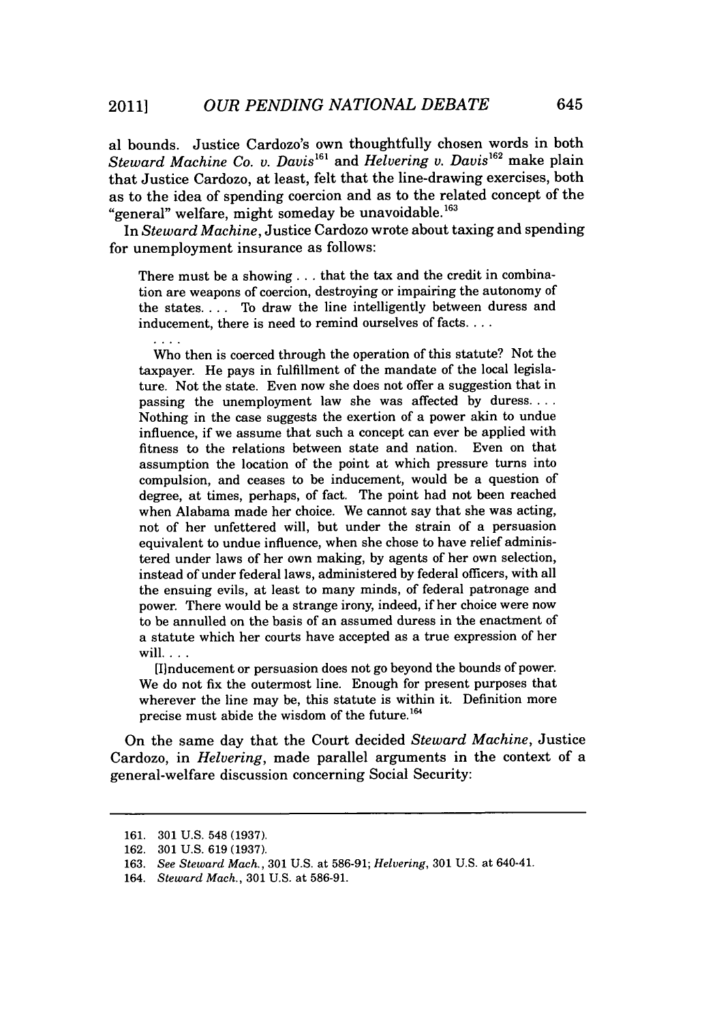al bounds. Justice Cardozo's own thoughtfully chosen words in both *Steward Machine Co. v. Davis161* and *Helvering v. DaviS162* make plain that Justice Cardozo, at least, felt that the line-drawing exercises, both as to the idea of spending coercion and as to the related concept of the "general" welfare, might someday be unavoidable.<sup>163</sup>

*In Steward Machine,* Justice Cardozo wrote about taxing and spending for unemployment insurance as follows:

There must be a showing **. ..** that the tax and the credit in combination are weapons of coercion, destroying or impairing the autonomy of the states. . . **.** To draw the line intelligently between duress and inducement, there is need to remind ourselves of facts. **...**

Who then is coerced through the operation of this statute? Not the taxpayer. He pays in fulfillment of the mandate of the local legislature. Not the state. Even now she does not offer a suggestion that in passing the unemployment law she was affected **by** duress.... Nothing in the case suggests the exertion of a power akin to undue influence, if we assume that such a concept can ever be applied with fitness to the relations between state and nation. Even on that assumption the location of the point at which pressure turns into compulsion, and ceases to be inducement, would be a question of degree, at times, perhaps, of fact. The point had not been reached when Alabama made her choice. We cannot say that she was acting, not of her unfettered will, but under the strain of a persuasion equivalent to undue influence, when she chose to have relief administered under laws of her own making, **by** agents of her own selection, instead of under federal laws, administered **by** federal officers, with all the ensuing evils, at least to many minds, of federal patronage and power. There would be a strange irony, indeed, if her choice were now to be annulled on the basis of an assumed duress in the enactment of a statute which her courts have accepted as a true expression of her **will....**

[I]nducement or persuasion does not go beyond the bounds of power. We do not fix the outermost line. Enough for present purposes that wherever the line may be, this statute is within it. Definition more precise must abide the wisdom of the future.<sup>164</sup>

On the same day that the Court decided *Steward Machine,* Justice Cardozo, in *Helvering,* made parallel arguments in the context of a general-welfare discussion concerning Social Security:

**<sup>161. 301</sup> U.S.** 548 **(1937).**

**<sup>162. 301</sup> U.S. 619 (1937).**

**<sup>163.</sup>** *See Steward Mach.,* **301 U.S.** at **586-91;** *Helvering,* **301 U.S.** at 640-41.

*<sup>164.</sup> Steward Mach.,* **301 U.S.** at **586-91.**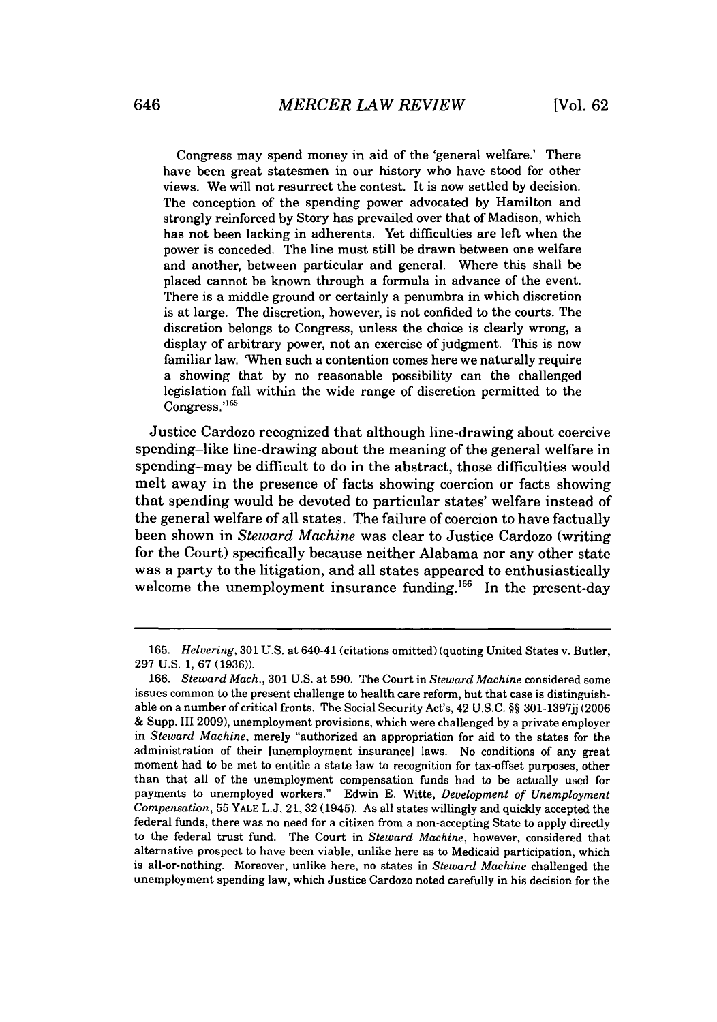Congress may spend money in aid of the 'general welfare.' There have been great statesmen in our history who have stood for other views. We will not resurrect the contest. It is now settled **by** decision. The conception of the spending power advocated **by** Hamilton and strongly reinforced **by** Story has prevailed over that of Madison, which has not been lacking in adherents. Yet difficulties are left when the power is conceded. The line must still be drawn between one welfare and another, between particular and general. Where this shall be placed cannot be known through a formula in advance of the event. There is a middle ground or certainly a penumbra in which discretion is at large. The discretion, however, is not confided to the courts. The discretion belongs to Congress, unless the choice is clearly wrong, a display of arbitrary power, not an exercise of judgment. This is now familiar law. 'When such a contention comes here we naturally require a showing that **by** no reasonable possibility can the challenged legislation fall within the wide range of discretion permitted to the Congress.'<sup>165</sup>

Justice Cardozo recognized that although line-drawing about coercive spending-like line-drawing about the meaning of the general welfare in spending-may be difficult to do in the abstract, those difficulties would melt away in the presence of facts showing coercion or facts showing that spending would be devoted to particular states' welfare instead of the general welfare of all states. The failure of coercion to have factually been shown in *Steward Machine* was clear to Justice Cardozo (writing for the Court) specifically because neither Alabama nor any other state was a party to the litigation, and all states appeared to enthusiastically welcome the unemployment insurance funding.<sup>166</sup> In the present-day

*<sup>165.</sup> Helvering,* **301 U.S.** *at* 640-41 (citations omitted) (quoting United States v. Butler, **297 U.S. 1, 67 (1936)).**

*<sup>166.</sup> Steward Mach.,* **301 U.S.** at **590.** The Court in *Steward Machine* considered some issues common to the present challenge to health care reform, but that case is distinguishable on a number of critical fronts. The Social Security Act's, 42 **U.S.C. §§ <sup>3</sup> 01-13 <sup>9</sup> 7jj (2006 &** Supp. III **2009),** unemployment provisions, which were challenged **by** a private employer *in Steward Machine,* merely "authorized an appropriation for aid to the states for the administration of their [unemployment insurance] laws. No conditions of any great moment had to be met to entitle a state law to recognition for tax-offset purposes, other than that all of the unemployment compensation funds had to be actually used for payments to unemployed workers." Edwin **E.** Witte, *Development of Unemployment Compensation,* **55** YALE **L.J.** 21, **32** (1945). As all states willingly and quickly accepted the federal funds, there was no need for a citizen from a non-accepting State to apply directly to the federal trust fund. The Court in *Steward Machine,* however, considered that alternative prospect to have been viable, unlike here as to Medicaid participation, which is all-or-nothing. Moreover, unlike here, no states in *Steward Machine* challenged the unemployment spending law, which Justice Cardozo noted carefully in his decision for the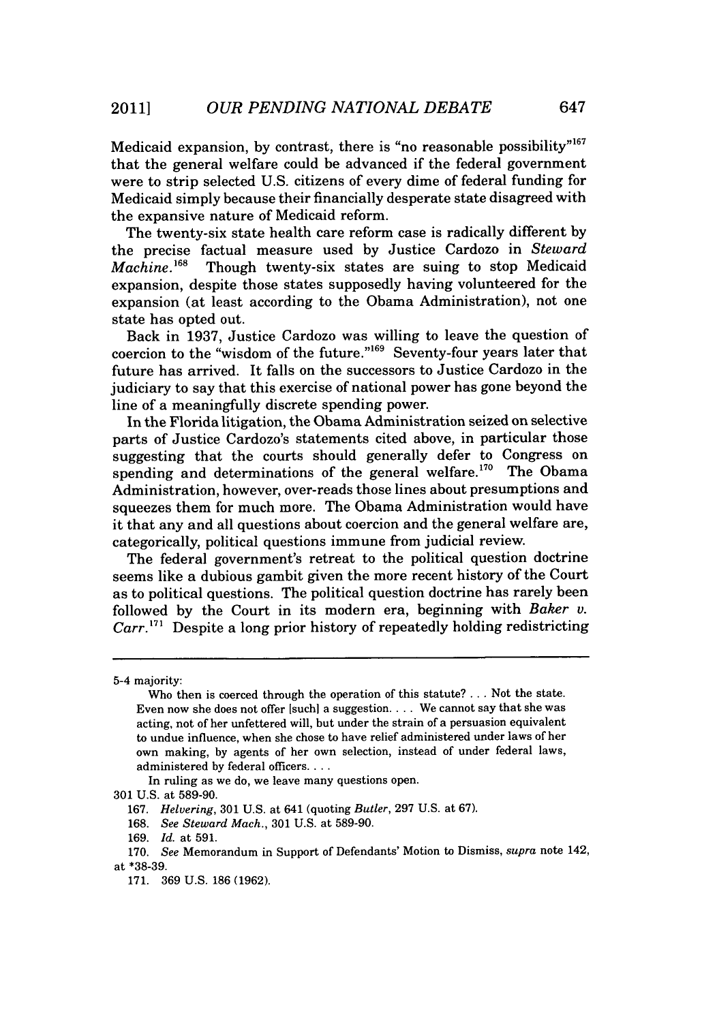Medicaid expansion, by contrast, there is "no reasonable possibility"<sup>167</sup> that the general welfare could be advanced if the federal government were to strip selected **U.S.** citizens of every dime of federal funding for Medicaid simply because their financially desperate state disagreed with the expansive nature of Medicaid reform.

The twenty-six state health care reform case is radically different **by** the precise factual measure used **by** Justice Cardozo in *Steward* Though twenty-six states are suing to stop Medicaid expansion, despite those states supposedly having volunteered for the expansion (at least according to the Obama Administration), not one state has opted out.

Back in **1937,** Justice Cardozo was willing to leave the question of coercion to the "wisdom of the future."<sup>169</sup> Seventy-four years later that future has arrived. It falls on the successors to Justice Cardozo in the judiciary to say that this exercise of national power has gone beyond the line of a meaningfully discrete spending power.

In the Florida litigation, the Obama Administration seized on selective parts of Justice Cardozo's statements cited above, in particular those suggesting that the courts should generally defer to Congress on spending and determinations of the general welfare.<sup>170</sup> The Obama Administration, however, over-reads those lines about presumptions and squeezes them for much more. The Obama Administration would have it that any and all questions about coercion and the general welfare are, categorically, political questions immune from judicial review.

The federal government's retreat to the political question doctrine seems like a dubious gambit given the more recent history of the Court as to political questions. The political question doctrine has rarely been followed **by** the Court in its modern era, beginning with *Baker v. Carr."'* Despite a long prior history of repeatedly holding redistricting

In ruling as we do, we leave many questions open.

<sup>5-4</sup> majority:

Who then is coerced through the operation of this statute? **.** . **.** Not the state. Even now she does not offer [suchl a suggestion. . . **.** We cannot say that she was acting, not of her unfettered will, but under the strain of a persuasion equivalent to undue influence, when she chose to have relief administered under laws of her own making, **by** agents of her own selection, instead of under federal laws, administered **by** federal officers....

**<sup>301</sup> U.S.** at **589-90.**

**<sup>167.</sup>** *Helvering,* **301 U.S.** at 641 (quoting *Butler,* **297 U.S.** at **67).**

**<sup>168.</sup>** *See Steward Mach.,* **301 U.S.** at **589-90.**

**<sup>169.</sup>** *Id.* at **591.**

**<sup>170.</sup>** *See* Memorandum in Support of Defendants' Motion to Dismiss, *supra* note 142, at **\*38-39.**

**<sup>171. 369</sup> U.S. 186 (1962).**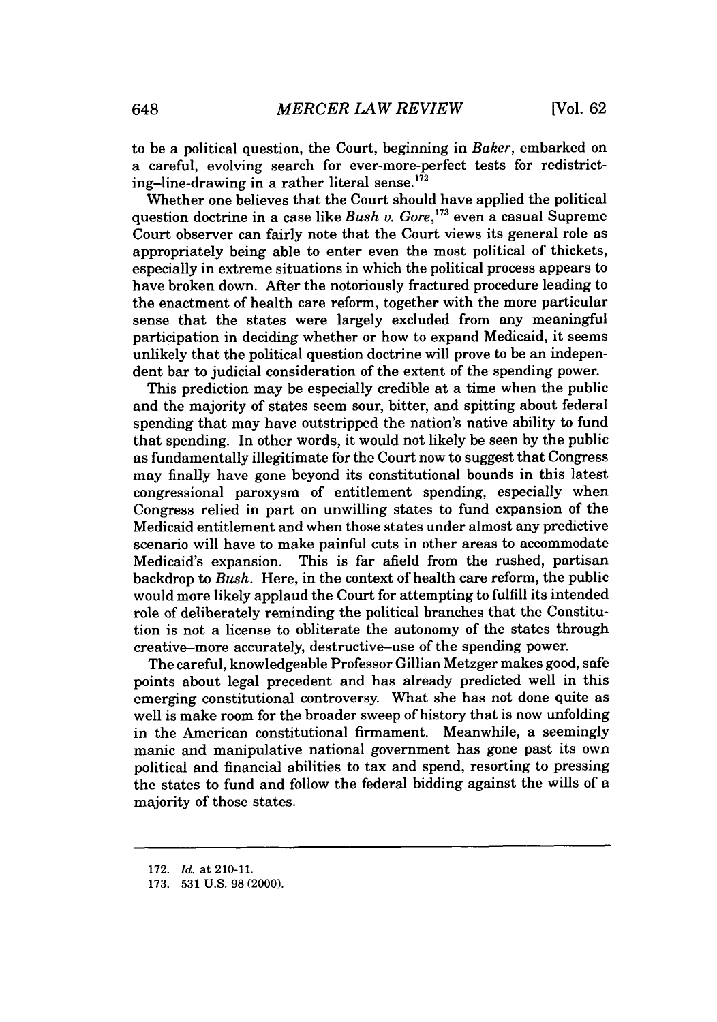to be a political question, the Court, beginning in *Baker,* embarked on a careful, evolving search for ever-more-perfect tests for redistricting-line-drawing in a rather literal sense.<sup>172</sup>

Whether one believes that the Court should have applied the political question doctrine in a case like *Bush v. Gore*,<sup>173</sup> even a casual Supreme Court observer can fairly note that the Court views its general role as appropriately being able to enter even the most political of thickets, especially in extreme situations in which the political process appears to have broken down. After the notoriously fractured procedure leading to the enactment of health care reform, together with the more particular sense that the states were largely excluded from any meaningful participation in deciding whether or how to expand Medicaid, it seems unlikely that the political question doctrine will prove to be an independent bar to judicial consideration of the extent of the spending power.

This prediction may be especially credible at a time when the public and the majority of states seem sour, bitter, and spitting about federal spending that may have outstripped the nation's native ability to fund that spending. In other words, it would not likely be seen **by** the public as fundamentally illegitimate for the Court now to suggest that Congress may finally have gone beyond its constitutional bounds in this latest congressional paroxysm of entitlement spending, especially when Congress relied in part on unwilling states to fund expansion of the Medicaid entitlement and when those states under almost any predictive scenario will have to make painful cuts in other areas to accommodate Medicaid's expansion. This is far afield from the rushed, partisan backdrop to *Bush.* Here, in the context of health care reform, the public would more likely applaud the Court for attempting to fulfill its intended role of deliberately reminding the political branches that the Constitution is not a license to obliterate the autonomy of the states through creative-more accurately, destructive-use of the spending power.

The careful, knowledgeable Professor Gillian Metzger makes good, safe points about legal precedent and has already predicted well in this emerging constitutional controversy. What she has not done quite as well is make room for the broader sweep of history that is now unfolding in the American constitutional firmament. Meanwhile, a seemingly manic and manipulative national government has gone past its own political and financial abilities to tax and spend, resorting to pressing the states to fund and follow the federal bidding against the wills of a majority of those states.

**<sup>172.</sup>** *Id.* at 210-11.

**<sup>173. 531</sup> U.S. 98** (2000).